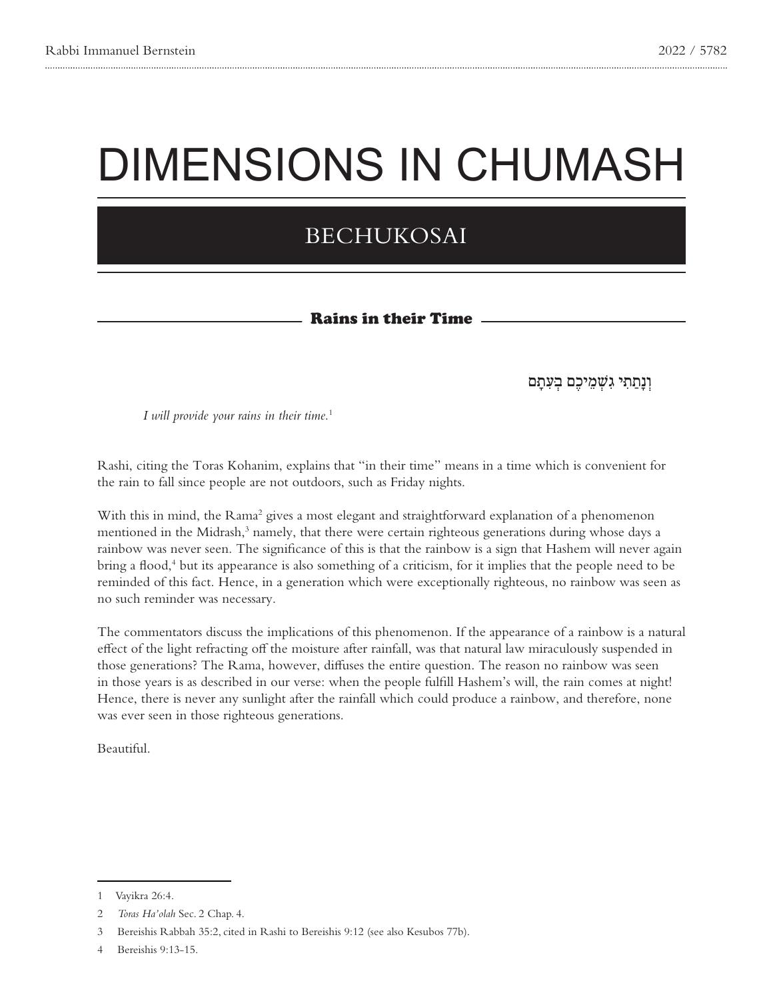## DIMENSIONS IN CHUMASH

## BECHUKOSAI

## Rains in their Time

וְנַתַּתִּי גִשְׁמֵיכֶם בְּעָתַם

*I* will provide your rains in their time.<sup>1</sup>

Rashi, citing the Toras Kohanim, explains that "in their time" means in a time which is convenient for the rain to fall since people are not outdoors, such as Friday nights.

With this in mind, the Rama<sup>2</sup> gives a most elegant and straightforward explanation of a phenomenon mentioned in the Midrash,<sup>3</sup> namely, that there were certain righteous generations during whose days a rainbow was never seen. The significance of this is that the rainbow is a sign that Hashem will never again bring a flood,<sup>4</sup> but its appearance is also something of a criticism, for it implies that the people need to be reminded of this fact. Hence, in a generation which were exceptionally righteous, no rainbow was seen as no such reminder was necessary.

The commentators discuss the implications of this phenomenon. If the appearance of a rainbow is a natural effect of the light refracting off the moisture after rainfall, was that natural law miraculously suspended in those generations? The Rama, however, diffuses the entire question. The reason no rainbow was seen in those years is as described in our verse: when the people fulfill Hashem's will, the rain comes at night! Hence, there is never any sunlight after the rainfall which could produce a rainbow, and therefore, none was ever seen in those righteous generations.

.Beautiful

<sup>1</sup> Vayikra 26:4.

<sup>2</sup> Toras Ha'olah Sec. 2 Chap. 4.

<sup>3</sup> Bereishis Rabbah 35:2, cited in Rashi to Bereishis 9:12 (see also Kesubos 77b).

<sup>4</sup> Bereishis 9:13-15.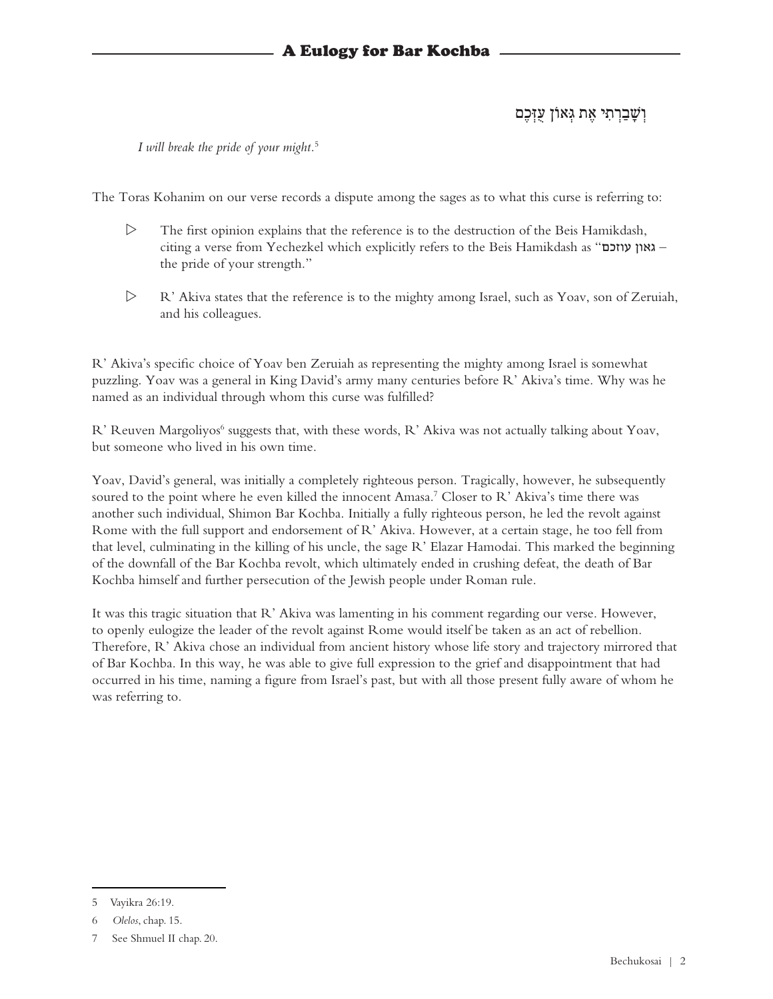וְ שָ ׁבַ רְ תִ ּי אֶ ת גְ ּאוֹן עֻזְ ּכֶם

*I* will break the pride of your might.<sup>5</sup>

The Toras Kohanim on our verse records a dispute among the sages as to what this curse is referring to:

- $\triangleright$  The first opinion explains that the reference is to the destruction of the Beis Hamikdash, citing a verse from Yechezkel which explicitly refers to the Beis Hamikdash as "ר גאון עוזכם" the pride of your strength."
- $\triangleright$  R' Akiva states that the reference is to the mighty among Israel, such as Yoav, son of Zeruiah, and his colleagues.

R' Akiva's specific choice of Yoav ben Zeruiah as representing the mighty among Israel is somewhat puzzling. Yoav was a general in King David's army many centuries before R' Akiva's time. Why was he named as an individual through whom this curse was fulfilled?

R' Reuven Margoliyos<sup>6</sup> suggests that, with these words, R' Akiva was not actually talking about Yoav, but someone who lived in his own time.

Yoav, David's general, was initially a completely righteous person. Tragically, however, he subsequently soured to the point where he even killed the innocent Amasa.<sup>7</sup> Closer to R' Akiva's time there was another such individual, Shimon Bar Kochba. Initially a fully righteous person, he led the revolt against Rome with the full support and endorsement of R' Akiva. However, at a certain stage, he too fell from that level, culminating in the killing of his uncle, the sage R' Elazar Hamodai. This marked the beginning of the downfall of the Bar Kochba revolt, which ultimately ended in crushing defeat, the death of Bar Kochba himself and further persecution of the Jewish people under Roman rule.

It was this tragic situation that R' Akiva was lamenting in his comment regarding our verse. However, to openly eulogize the leader of the revolt against Rome would itself be taken as an act of rebellion. Therefore, R' Akiva chose an individual from ancient history whose life story and trajectory mirrored that of Bar Kochba. In this way, he was able to give full expression to the grief and disappointment that had occurred in his time, naming a figure from Israel's past, but with all those present fully aware of whom he was referring to.

<sup>5</sup> Vayikra 26:19.

<sup>6</sup> Olelos, chap. 15.

<sup>7</sup> See Shmuel II chap. 20.